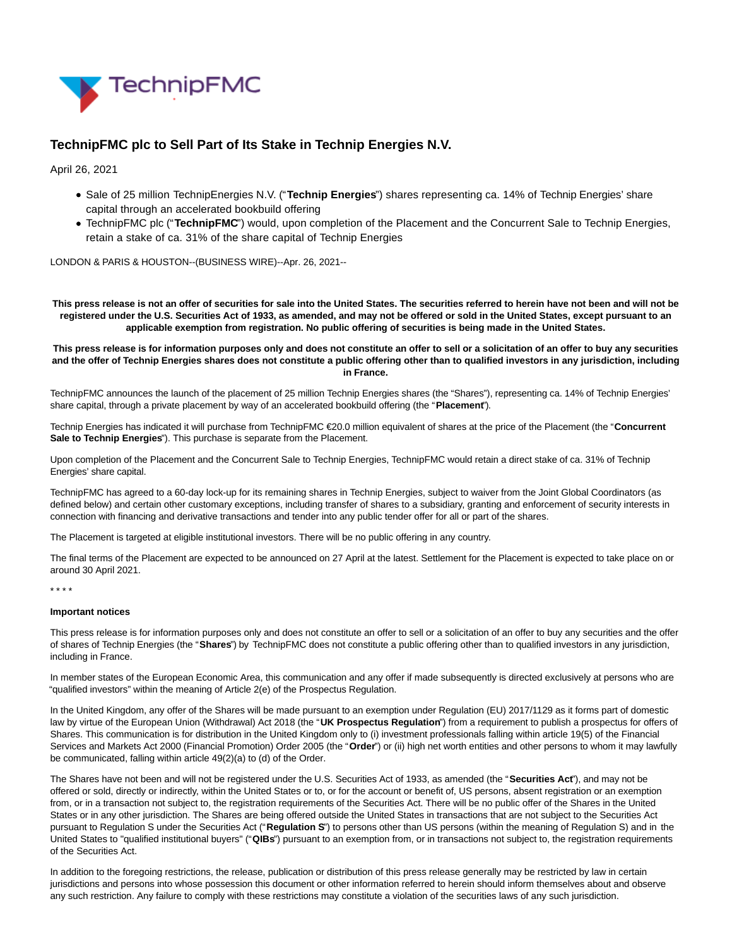

# **TechnipFMC plc to Sell Part of Its Stake in Technip Energies N.V.**

April 26, 2021

- Sale of 25 million TechnipEnergies N.V. ("**Technip Energies**") shares representing ca. 14% of Technip Energies' share capital through an accelerated bookbuild offering
- TechnipFMC plc ("**TechnipFMC**") would, upon completion of the Placement and the Concurrent Sale to Technip Energies, retain a stake of ca. 31% of the share capital of Technip Energies

LONDON & PARIS & HOUSTON--(BUSINESS WIRE)--Apr. 26, 2021--

**This press release is not an offer of securities for sale into the United States. The securities referred to herein have not been and will not be registered under the U.S. Securities Act of 1933, as amended, and may not be offered or sold in the United States, except pursuant to an applicable exemption from registration. No public offering of securities is being made in the United States.**

# **This press release is for information purposes only and does not constitute an offer to sell or a solicitation of an offer to buy any securities and the offer of Technip Energies shares does not constitute a public offering other than to qualified investors in any jurisdiction, including in France.**

TechnipFMC announces the launch of the placement of 25 million Technip Energies shares (the "Shares"), representing ca. 14% of Technip Energies' share capital, through a private placement by way of an accelerated bookbuild offering (the "**Placement**").

Technip Energies has indicated it will purchase from TechnipFMC €20.0 million equivalent of shares at the price of the Placement (the "**Concurrent Sale to Technip Energies**"). This purchase is separate from the Placement.

Upon completion of the Placement and the Concurrent Sale to Technip Energies, TechnipFMC would retain a direct stake of ca. 31% of Technip Energies' share capital.

TechnipFMC has agreed to a 60-day lock-up for its remaining shares in Technip Energies, subject to waiver from the Joint Global Coordinators (as defined below) and certain other customary exceptions, including transfer of shares to a subsidiary, granting and enforcement of security interests in connection with financing and derivative transactions and tender into any public tender offer for all or part of the shares.

The Placement is targeted at eligible institutional investors. There will be no public offering in any country.

The final terms of the Placement are expected to be announced on 27 April at the latest. Settlement for the Placement is expected to take place on or around 30 April 2021.

\* \* \* \*

### **Important notices**

This press release is for information purposes only and does not constitute an offer to sell or a solicitation of an offer to buy any securities and the offer of shares of Technip Energies (the "**Shares**") by TechnipFMC does not constitute a public offering other than to qualified investors in any jurisdiction, including in France.

In member states of the European Economic Area, this communication and any offer if made subsequently is directed exclusively at persons who are "qualified investors" within the meaning of Article 2(e) of the Prospectus Regulation.

In the United Kingdom, any offer of the Shares will be made pursuant to an exemption under Regulation (EU) 2017/1129 as it forms part of domestic law by virtue of the European Union (Withdrawal) Act 2018 (the "UK Prospectus Regulation") from a requirement to publish a prospectus for offers of Shares. This communication is for distribution in the United Kingdom only to (i) investment professionals falling within article 19(5) of the Financial Services and Markets Act 2000 (Financial Promotion) Order 2005 (the "**Order**") or (ii) high net worth entities and other persons to whom it may lawfully be communicated, falling within article 49(2)(a) to (d) of the Order.

The Shares have not been and will not be registered under the U.S. Securities Act of 1933, as amended (the "**Securities Act**"), and may not be offered or sold, directly or indirectly, within the United States or to, or for the account or benefit of, US persons, absent registration or an exemption from, or in a transaction not subject to, the registration requirements of the Securities Act. There will be no public offer of the Shares in the United States or in any other jurisdiction. The Shares are being offered outside the United States in transactions that are not subject to the Securities Act pursuant to Regulation S under the Securities Act ("**Regulation S**") to persons other than US persons (within the meaning of Regulation S) and in the United States to "qualified institutional buyers" ("**QIBs**") pursuant to an exemption from, or in transactions not subject to, the registration requirements of the Securities Act.

In addition to the foregoing restrictions, the release, publication or distribution of this press release generally may be restricted by law in certain jurisdictions and persons into whose possession this document or other information referred to herein should inform themselves about and observe any such restriction. Any failure to comply with these restrictions may constitute a violation of the securities laws of any such jurisdiction.